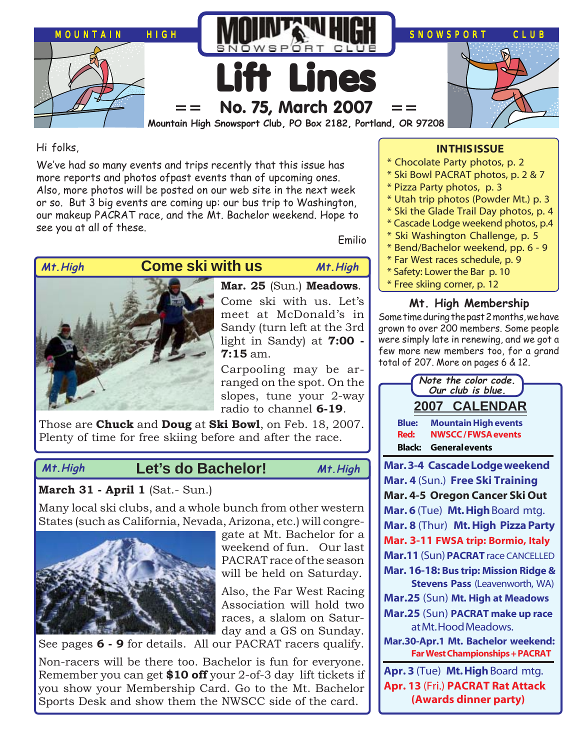

Hi folks,

We've had so many events and trips recently that this issue has more reports and photos ofpast events than of upcoming ones. Also, more photos will be posted on our web site in the next week or so. But 3 big events are coming up: our bus trip to Washington, our makeup PACRAT race, and the Mt. Bachelor weekend. Hope to see you at all of these.

Emilio



**Come ski with us Mt.High Mt.High**

**Mar. 25** (Sun.) **Meadows**. Come ski with us. Let's meet at McDonald's in Sandy (turn left at the 3rd light in Sandy) at **7:00 - 7:15** am.

Carpooling may be arranged on the spot. On the slopes, tune your 2-way radio to channel **6-19**.

Those are **Chuck** and **Doug** at **Ski Bowl**, on Feb. 18, 2007. Plenty of time for free skiing before and after the race.

## **Let's do Bachelor! Mt.High Mt.High**

**March 31 - April 1** (Sat.- Sun.)

Many local ski clubs, and a whole bunch from other western States (such as California, Nevada, Arizona, etc.) will congre-



gate at Mt. Bachelor for a weekend of fun. Our last PACRAT race of the season will be held on Saturday.

Also, the Far West Racing Association will hold two races, a slalom on Saturday and a GS on Sunday.

See pages **6 - 9** for details. All our PACRAT racers qualify.

Non-racers will be there too. Bachelor is fun for everyone. Remember you can get **\$10 off** your 2-of-3 day lift tickets if you show your Membership Card. Go to the Mt. Bachelor Sports Desk and show them the NWSCC side of the card.

## **IN THIS ISSUE**

- \* Chocolate Party photos, p. 2
- \* Ski Bowl PACRAT photos, p. 2 & 7
- \* Pizza Party photos, p. 3
- \* Utah trip photos (Powder Mt.) p. 3
- \* Ski the Glade Trail Day photos, p. 4
- \* Cascade Lodge weekend photos, p.4
- \* Ski Washington Challenge, p. 5
- \* Bend/Bachelor weekend, pp. 6 9
- \* Far West races schedule, p. 9
- \* Safety: Lower the Bar p. 10
- \* Free skiing corner, p. 12

## **Mt. High Membership**

Some time during the past 2 months, we have grown to over 200 members. Some people were simply late in renewing, and we got a few more new members too, for a grand total of 207. More on pages 6 & 12.

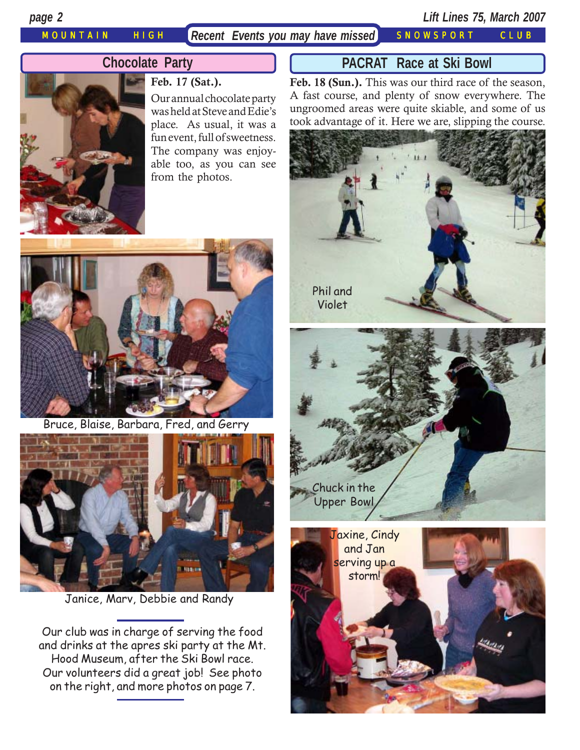MOUNTAIN HIGH *Recent Events you may have missed* SNOWSPORT CLUB

*page 2 Lift Lines 75, March 2007*

## **Chocolate Party**



# **Feb. 17 (Sat.).** Our annual chocolate party

was held at Steve and Edie's place. As usual, it was a fun event, full of sweetness. The company was enjoyable too, as you can see from the photos.



Bruce, Blaise, Barbara, Fred, and Gerry



Janice, Marv, Debbie and Randy

Our club was in charge of serving the food and drinks at the apres ski party at the Mt. Hood Museum, after the Ski Bowl race. Our volunteers did a great job! See photo on the right, and more photos on page 7.

## **PACRAT Race at Ski Bowl**

**Feb. 18 (Sun.).** This was our third race of the season, A fast course, and plenty of snow everywhere. The ungroomed areas were quite skiable, and some of us took advantage of it. Here we are, slipping the course.

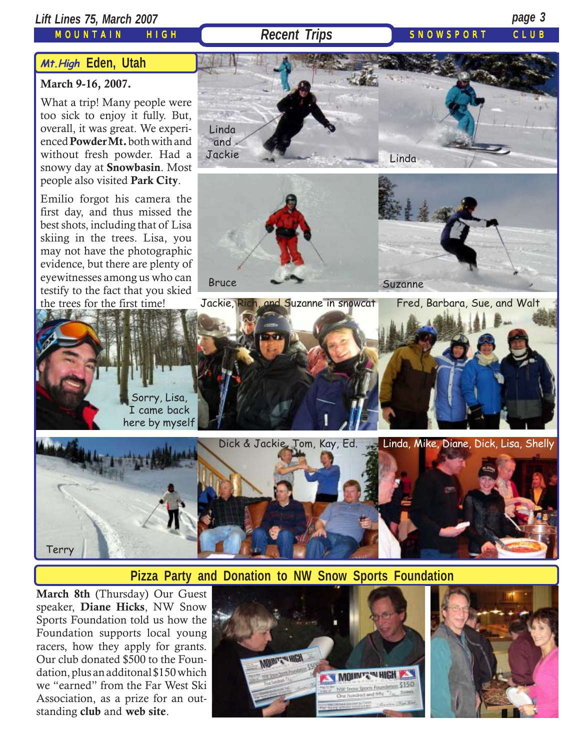## *Lift Lines 75, March 2007 page 3*

MOUNTAIN HIGH

**Recent Trips** SNOWSPORT CLUB

## **Eden, Utah Mt.High**

## **March 9-16, 2007.**

What a trip! Many people were too sick to enjoy it fully. But, overall, it was great. We experienced **Powder Mt.** both with and without fresh powder. Had a snowy day at **Snowbasin**. Most people also visited **Park City**.

Emilio forgot his camera the first day, and thus missed the best shots, including that of Lisa skiing in the trees. Lisa, you may not have the photographic evidence, but there are plenty of eyewitnesses among us who can testify to the fact that you skied the trees for the first time!









Dick & Jackie, Tom, Kay, Ed. **Linda, Mike, Diane, Dick, Lisa, Shelly** 



## **Pizza Party and Donation to NW Snow Sports Foundation**

**March 8th** (Thursday) Our Guest speaker, **Diane Hicks**, NW Snow Sports Foundation told us how the Foundation supports local young racers, how they apply for grants. Our club donated \$500 to the Foundation, plus an additonal \$150 which we "earned" from the Far West Ski Association, as a prize for an outstanding **club** and **web site**.



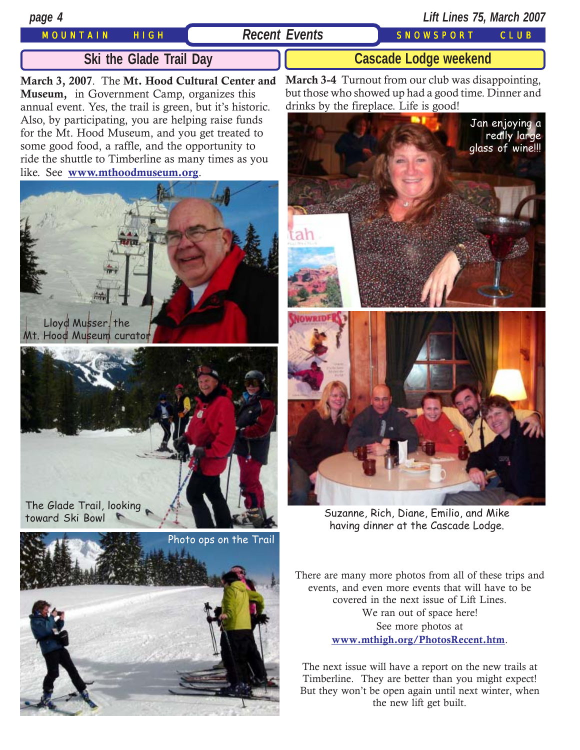## MOUNTAIN HIGH **Recent Events** SNOWSPORT CLUB

*page 4 Lift Lines 75, March 2007*

# **Ski the Glade Trail Day**

**March 3, 2007**. The **Mt. Hood Cultural Center and Museum,** in Government Camp, organizes this annual event. Yes, the trail is green, but it's historic. Also, by participating, you are helping raise funds for the Mt. Hood Museum, and you get treated to some good food, a raffle, and the opportunity to ride the shuttle to Timberline as many times as you like. See **[www.mthoodmuseum.org](http://www.mthoodmuseum.org/)**.







**March 3-4** Turnout from our club was disappointing, but those who showed up had a good time. Dinner and drinks by the fireplace. Life is good!

 **Cascade Lodge weekend**



Suzanne, Rich, Diane, Emilio, and Mike having dinner at the Cascade Lodge.

There are many more photos from all of these trips and events, and even more events that will have to be covered in the next issue of Lift Lines. We ran out of space here! See more photos at **[www.mthigh.org/PhotosRecent.htm](http://www.mthigh.org/PhotosRecent.htm)**.

The next issue will have a report on the new trails at Timberline. They are better than you might expect! But they won't be open again until next winter, when the new lift get built.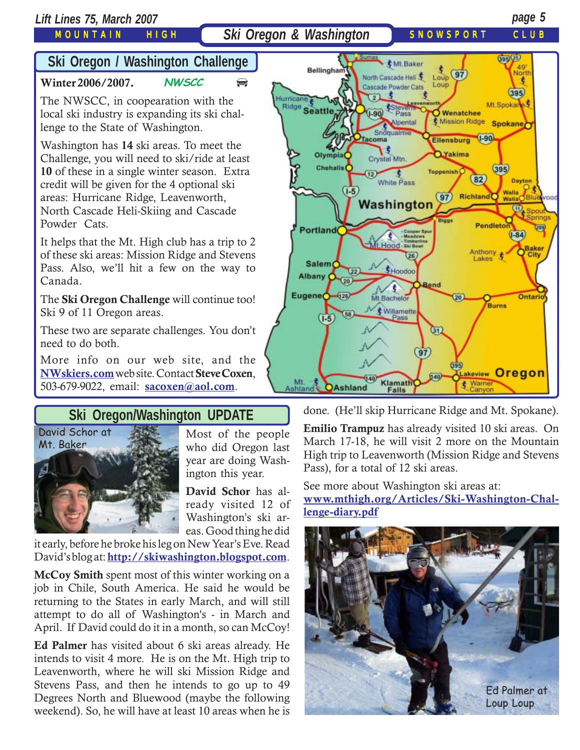MOUNTAIN HIGH

**Ski Oregon & Washington** SNOWSPORT CLUB

# **Ski Oregon / Washington Challeng[e](http://beavercreek.snow.com/winterhome.asp)**

**[Winter 2006/2007.](http://beavercreek.snow.com/winterhome.asp) NWSCC** 

The NWSCC, in coopearation with the local ski industry is expanding its ski challenge to the State of Washington.

Washington has **14** ski areas. To meet the Challenge, you will need to ski/ride at least **10** of these in a single winter season. Extra credit will be given for the 4 optional ski areas: Hurricane Ridge, Leavenworth, North Cascade Heli-Skiing and Cascade Powder Cats.

It helps that the Mt. High club has a trip to 2 of these ski areas: Mission Ridge and Stevens Pass. Also, we'll hit a few on the way to Canada.

The **Ski Oregon Challenge** will continue too! Ski 9 of 11 Oregon areas.

These two are separate challenges. You don't need to do both.

More info on our web site, and the **[NWskiers.com](http://www.nwskiers.org/)** web site. Contact **Steve Coxen**, 503-679-9022, email: **[sacoxen@aol.com](mailto:sacoxen@aol.com)**.

# **Ski Oregon/Washington UPDATE**



Most of the people who did Oregon last year are doing Washington this year.

**David Schor** has already visited 12 of Washington's ski areas. Good thing he did

it early, before he broke his leg on New Year's Eve. Read David's blog at: **<http://skiwashington.blogspot.com>**.

**McCoy Smith** spent most of this winter working on a job in Chile, South America. He said he would be returning to the States in early March, and will still attempt to do all of Washington's - in March and April. If David could do it in a month, so can McCoy!

**Ed Palmer** has visited about 6 ski areas already. He intends to visit 4 more. He is on the Mt. High trip to Leavenworth, where he will ski Mission Ridge and Stevens Pass, and then he intends to go up to 49 Degrees North and Bluewood (maybe the following weekend). So, he will have at least 10 areas when he is



done. (He'll skip Hurricane Ridge and Mt. Spokane).

**Emilio Trampuz** has already visited 10 ski areas. On March 17-18, he will visit 2 more on the Mountain High trip to Leavenworth (Mission Ridge and Stevens Pass), for a total of 12 ski areas.

See more about Washington ski areas at: **[www.mthigh.org/Articles/Ski-Washington-Chal](http://www.mthigh.org/Articles/Ski-Washington-Challenge-diary.pdf)[lenge-diary.pdf](http://www.mthigh.org/Articles/Ski-Washington-Challenge-diary.pdf)**

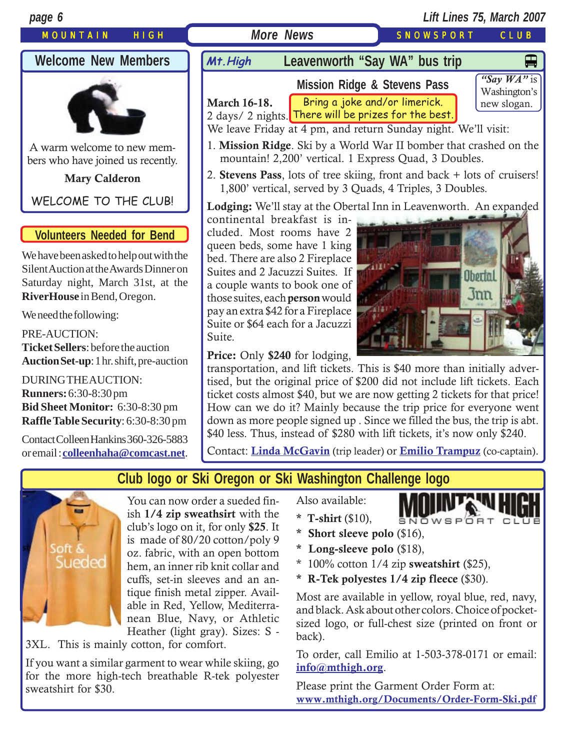

is made of 80/20 cotton/poly 9 oz. fabric, with an open bottom hem, an inner rib knit collar and cuffs, set-in sleeves and an antique finish metal zipper. Available in Red, Yellow, Mediterranean Blue, Navy, or Athletic Heather (light gray). Sizes: S -

3XL. This is mainly cotton, for comfort.

Suedec

If you want a similar garment to wear while skiing, go for the more high-tech breathable R-tek polyester sweatshirt for \$30.

- **\* Short sleeve polo** (\$16),
- **\* Long-sleeve polo** (\$18),
- \* 100% cotton 1/4 zip **sweatshirt** (\$25),
- **\* R-Tek polyestes 1/4 zip fleece** (\$30).

Most are available in yellow, royal blue, red, navy, and black. Ask about other colors. Choice of pocketsized logo, or full-chest size (printed on front or back).

To order, call Emilio at 1-503-378-0171 or email: **[info@mthigh.org](mailto:info@mthigh.org)**.

Please print the Garment Order Form at: **[www.mthigh.org/Documents/Order-Form-Ski.pdf](http://www.mthigh.org/Documents/Order-Form-Ski.pdf)**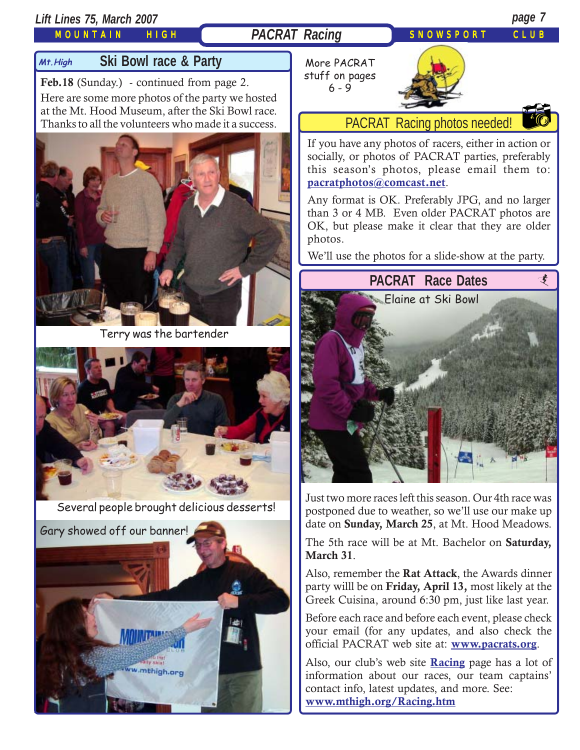## *Lift Lines 75, March 2007 page 7*

## MOUNTAIN HIGH

# **PACRAT Racing SNOWSPORT CLUB**

## **Mt.High**

# **Ski Bowl race & Party**

**Feb.18** (Sunday.) - continued from page 2. Here are some more photos of the party we hosted at the Mt. Hood Museum, after the Ski Bowl race. Thanks to all the volunteers who made it a success.



Terry was the bartender



Several people brought delicious desserts!



More PACRAT stuff on pages  $6 - 9$ 



## PACRAT Racing photos needed!

If you have any photos of racers, either in action or socially, or photos of PACRAT parties, preferably this season's photos, please email them to: **[pacratphotos@comcast.net](mailto:pacratphotos@comcast.net)**. 60

Any format is OK. Preferably JPG, and no larger than 3 or 4 MB. Even older PACRAT photos are OK, but please make it clear that they are older photos.

We'll use the photos for a slide-show at the party.



Just two more races left this season. Our 4th race was postponed due to weather, so we'll use our make up date on **Sunday, March 25**, at Mt. Hood Meadows.

The 5th race will be at Mt. Bachelor on **Saturday, March 31**.

Also, remember the **Rat Attack**, the Awards dinner party willl be on **Friday, April 13,** most likely at the Greek Cuisina, around 6:30 pm, just like last year.

Before each race and before each event, please check your email (for any updates, and also check the official PACRAT web site at: **[www.pacrats.org](http://www.pacrats.org/)**.

Also, our club's web site **[Racing](http://www.mthigh.org/Racing.htm)** page has a lot of information about our races, our team captains' contact info, latest updates, and more. See: **[www.mthigh.org/Racing.htm](http://www.mthigh.org/Racing.htm)**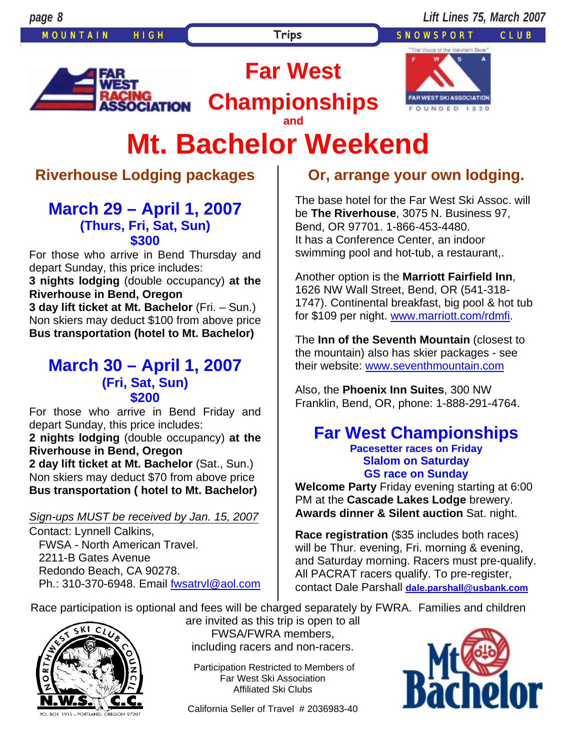MOUNTAIN HIGH **Trips** SNOWSPORT CLUB



**Championships**

**Far West** 



# **Mt. Bachelor Weekend and**

# **Riverhouse Lodging packages**

## **March 29 – April 1, 2007 (Thurs, Fri, Sat, Sun) \$300**

For those who arrive in Bend Thursday and depart Sunday, this price includes:

**3 nights lodging** (double occupancy) **at the Riverhouse in Bend, Oregon** 

**3 day lift ticket at Mt. Bachelor** (Fri. – Sun.) Non skiers may deduct \$100 from above price **Bus transportation (hotel to Mt. Bachelor)**

# **March 30 – April 1, 2007 (Fri, Sat, Sun) \$200**

For those who arrive in Bend Friday and depart Sunday, this price includes:

**2 nights lodging** (double occupancy) **at the Riverhouse in Bend, Oregon** 

**2 day lift ticket at Mt. Bachelor** (Sat., Sun.) Non skiers may deduct \$70 from above price **Bus transportation ( hotel to Mt. Bachelor)** 

## *Sign-ups MUST be received by Jan. 15, 2007*

Contact: Lynnell Calkins, FWSA - North American Travel. 2211-B Gates Avenue Redondo Beach, CA 90278. Ph.: 310-370-6948. Email fwsatrvl@aol.com

# **Or, arrange your own lodging.**

The base hotel for the Far West Ski Assoc. will be **The Riverhouse**, 3075 N. Business 97, Bend, OR 97701. 1-866-453-4480. It has a Conference Center, an indoor swimming pool and hot-tub, a restaurant,.

Another option is the **Marriott Fairfield Inn**, 1626 NW Wall Street, Bend, OR (541-318- 1747). Continental breakfast, big pool & hot tub for \$109 per night. www.marriott.com/rdmfi.

The **Inn of the Seventh Mountain** (closest to the mountain) also has skier packages - see their website: www.seventhmountain.com

Also, the **Phoenix Inn Suites**, 300 NW Franklin, Bend, OR, phone: 1-888-291-4764.

## **Far West Championships Pacesetter races on Friday Slalom on Saturday GS race on Sunday**

**Welcome Party** Friday evening starting at 6:00 PM at the **Cascade Lakes Lodge** brewery. **Awards dinner & Silent auction** Sat. night.

**Race registration** (\$35 includes both races) will be Thur. evening, Fri. morning & evening, and Saturday morning. Racers must pre-qualify. All PACRAT racers qualify. To pre-register, contact Dale Parshall **dale.parshall@usbank.com**

Race participation is optional and fees will be charged separately by FWRA. Families and children



are invited as this trip is open to all FWSA/FWRA members, including racers and non-racers.

Participation Restricted to Members of Far West Ski Association Affiliated Ski Clubs

California Seller of Travel # 2036983-40

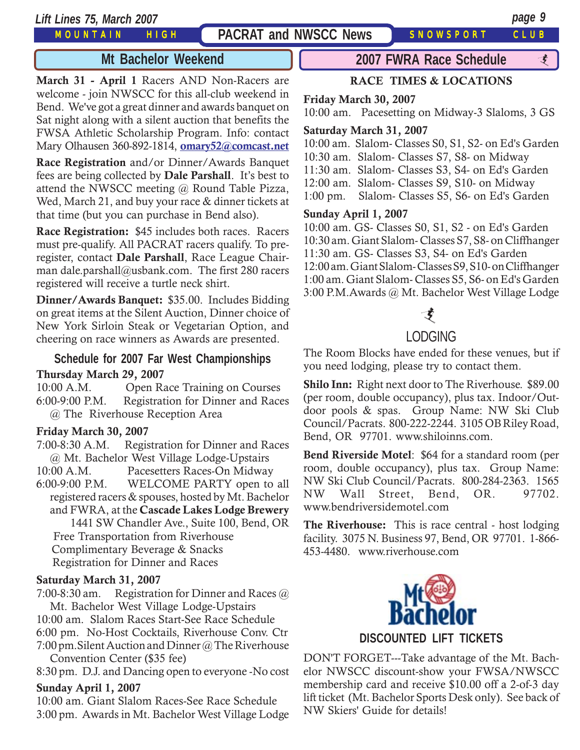*Lift Lines 75, March 2007 page 9*

MOUNTAIN HIGH

# **PACRAT and NWSCC News** SNOWSPORT CLUB

**March 31 - April 1** Racers AND Non-Racers are welcome - join NWSCC for this all-club weekend in Bend. We've got a great dinner and awards banquet on Sat night along with a silent auction that benefits the FWSA Athletic Scholarship Program. Info: contact Mary Olhausen 360-892-1814, **[omary52@comcast.net](mailto:omary52@comcast.net)**

**Race Registration** and/or Dinner/Awards Banquet fees are being collected by **Dale Parshall**. It's best to attend the NWSCC meeting @ Round Table Pizza, Wed, March 21, and buy your race & dinner tickets at that time (but you can purchase in Bend also).

**Race Registration:** \$45 includes both races. Racers must pre-qualify. All PACRAT racers qualify. To preregister, contact **Dale Parshall**, Race League Chairman dale.parshall@usbank.com. The first 280 racers registered will receive a turtle neck shirt.

**Dinner/Awards Banquet:** \$35.00. Includes Bidding on great items at the Silent Auction, Dinner choice of New York Sirloin Steak or Vegetarian Option, and cheering on race winners as Awards are presented.

# **Schedule for 2007 Far West Championships**

**Thursday March 29, 2007**

10:00 A.M. Open Race Training on Courses 6:00-9:00 P.M. Registration for Dinner and Races @ The Riverhouse Reception Area

## **Friday March 30, 2007**

7:00-8:30 A.M. Registration for Dinner and Races @ Mt. Bachelor West Village Lodge-Upstairs

10:00 A.M. Pacesetters Races-On Midway

6:00-9:00 P.M. WELCOME PARTY open to all registered racers & spouses, hosted by Mt. Bachelor and FWRA, at the **Cascade Lakes Lodge Brewery** 1441 SW Chandler Ave., Suite 100, Bend, OR Free Transportation from Riverhouse Complimentary Beverage & Snacks

Registration for Dinner and Races

## **Saturday March 31, 2007**

- 7:00-8:30 am. Registration for Dinner and Races @ Mt. Bachelor West Village Lodge-Upstairs
- 10:00 am. Slalom Races Start-See Race Schedule
- 6:00 pm. No-Host Cocktails, Riverhouse Conv. Ctr
- 7:00 pm.Silent Auction and Dinner @ The Riverhouse Convention Center (\$35 fee)

8:30 pm. D.J. and Dancing open to everyone -No cost

## **Sunday April 1, 2007**

10:00 am. Giant Slalom Races-See Race Schedule 3:00 pm. Awards in Mt. Bachelor West Village Lodge

## **Mt Bachelor Weekend 2007 FWRA Race Schedule** *支*

## **RACE TIMES & LOCATIONS**

**Friday March 30, 2007**

10:00 am. Pacesetting on Midway-3 Slaloms, 3 GS

## **Saturday March 31, 2007**

10:00 am. Slalom- Classes S0, S1, S2- on Ed's Garden 10:30 am. Slalom- Classes S7, S8- on Midway 11:30 am. Slalom- Classes S3, S4- on Ed's Garden 12:00 am. Slalom- Classes S9, S10- on Midway 1:00 pm. Slalom- Classes S5, S6- on Ed's Garden

## **Sunday April 1, 2007**

10:00 am. GS- Classes S0, S1, S2 - on Ed's Garden 10:30 am. Giant Slalom- Classes S7, S8- on Cliffhanger 11:30 am. GS- Classes S3, S4- on Ed's Garden 12:00 am. Giant Slalom- Classes S9, S10- on Cliffhanger 1:00 am. Giant Slalom- Classes S5, S6- on Ed's Garden 3:00 P.M.Awards @ Mt. Bachelor West Village Lodge

# $\mathcal{F}$

# LODGING

The Room Blocks have ended for these venues, but if you need lodging, please try to contact them.

**Shilo Inn:** Right next door to The Riverhouse. \$89.00 (per room, double occupancy), plus tax. Indoor/Outdoor pools & spas. Group Name: NW Ski Club Council/Pacrats. 800-222-2244. 3105 OB Riley Road, Bend, OR 97701. www.shiloinns.com.

**Bend Riverside Motel**: \$64 for a standard room (per room, double occupancy), plus tax. Group Name: NW Ski Club Council/Pacrats. 800-284-2363. 1565 NW Wall Street, Bend, OR. 97702. www.bendriversidemotel.com

**The Riverhouse:** This is race central - host lodging facility. 3075 N. Business 97, Bend, OR 97701. 1-866- 453-4480. www.riverhouse.com



DON'T FORGET---Take advantage of the Mt. Bachelor NWSCC discount-show your FWSA/NWSCC membership card and receive \$10.00 off a 2-of-3 day lift ticket (Mt. Bachelor Sports Desk only). See back of NW Skiers' Guide for details!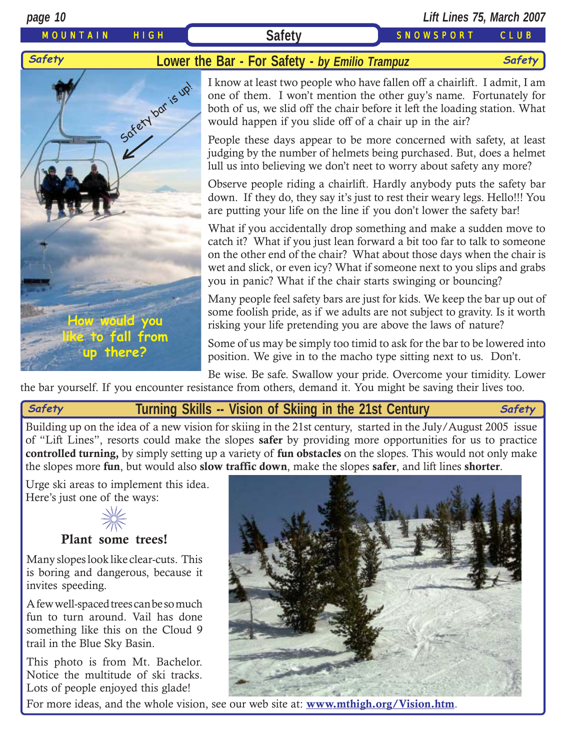MOUNTAIN HIGH **Safety** Sancwsport CLUB

*page 10 Lift Lines 75, March 2007*

## **Lower the Bar - For Safety -** *by Emilio Trampuz* **Safety Safety**



I know at least two people who have fallen off a chairlift. I admit, I am one of them. I won't mention the other guy's name. Fortunately for both of us, we slid off the chair before it left the loading station. What would happen if you slide off of a chair up in the air?

People these days appear to be more concerned with safety, at least judging by the number of helmets being purchased. But, does a helmet lull us into believing we don't neet to worry about safety any more?

Observe people riding a chairlift. Hardly anybody puts the safety bar down. If they do, they say it's just to rest their weary legs. Hello!!! You are putting your life on the line if you don't lower the safety bar!

What if you accidentally drop something and make a sudden move to catch it? What if you just lean forward a bit too far to talk to someone on the other end of the chair? What about those days when the chair is wet and slick, or even icy? What if someone next to you slips and grabs you in panic? What if the chair starts swinging or bouncing?

Many people feel safety bars are just for kids. We keep the bar up out of some foolish pride, as if we adults are not subject to gravity. Is it worth risking your life pretending you are above the laws of nature?

Some of us may be simply too timid to ask for the bar to be lowered into position. We give in to the macho type sitting next to us. Don't.

Be wise. Be safe. Swallow your pride. Overcome your timidity. Lower the bar yourself. If you encounter resistance from others, demand it. You might be saving their lives too.

**Turning Skills -- Vision of Skiing in the 21st Century Safety Safety**

Building up on the idea of a new vision for skiing in the 21st century, started in the July/August 2005 issue of "Lift Lines", resorts could make the slopes **safer** by providing more opportunities for us to practice **controlled turning,** by simply setting up a variety of **fun obstacles** on the slopes. This would not only make the slopes more **fun**, but would also **slow traffic down**, make the slopes **safer**, and lift lines **shorter**.

Urge ski areas to implement this idea. Here's just one of the ways:



## **Plant some trees!**

Many slopes look like clear-cuts. This is boring and dangerous, because it invites speeding.

A few well-spaced trees can be so much fun to turn around. Vail has done something like this on the Cloud 9 trail in the Blue Sky Basin.

This photo is from Mt. Bachelor. Notice the multitude of ski tracks. Lots of people enjoyed this glade!

For more ideas, and the whole vision, see our web site at: **[www.mthigh.org/Vision.htm](http://www.mthigh.org/Vision.htm)**.

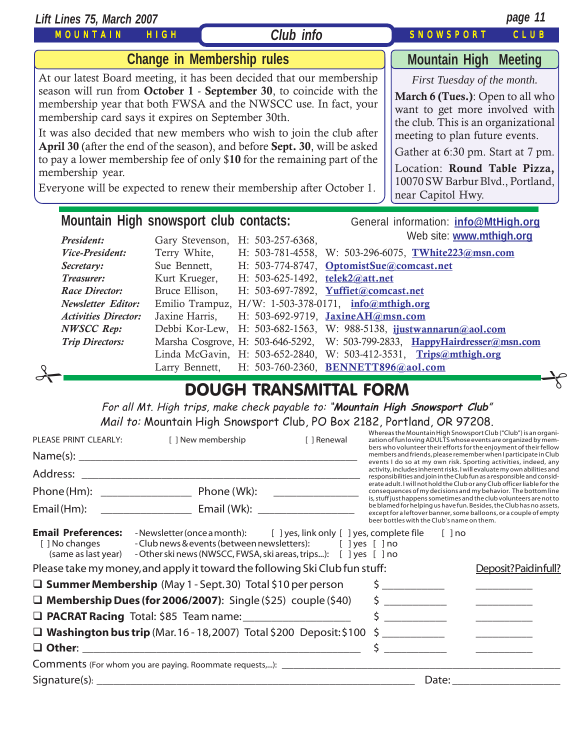MOUNTAIN HIGH *Lift Lines 75, March 2007 page 11* SNOWSPORT CLUB **Mountain High snowsport club contacts:** General information: *[info@MtHigh.org](mailto:info@MtHigh.org) President:* Gary Stevenson, H: 503-257-6368, *Vice-President:* Terry White, H: 503-781-4558, W: 503-296-6075, **[TWhite223@msn.com](mailto:TWhite223@msn.com)** *Secretary:* Sue Bennett, H: 503-774-8747, **[OptomistSue@comcast.net](mailto:OptomistSue@comcast.net)** *Treasurer:* Kurt Krueger, H: 503-625-1492, **[telek2@att.net](mailto:telek2@att.net)** *Race Director:* Bruce Ellison, H: 503-697-7892, **[Yuffiet@comcast.net](mailto:Yuffiet@comcast.net)** *Newsletter Editor:* Emilio Trampuz, H/W: 1-503-378-0171, **[info@mthigh.org](mailto:info@mthigh.org)** *Activities Director:* Jaxine Harris, H: 503-692-9719, **[JaxineAH@msn.com](mailto:JaxineAH@msn.com) Mountain High Meeting** *First Tuesday of the month.* **March 6 (Tues.)**: Open to all who want to get more involved with the club. This is an organizational meeting to plan future events. Gather at 6:30 pm. Start at 7 pm. Location: **Round Table Pizza,** 10070 SW Barbur Blvd., Portland, near Capitol Hwy. **Change in Membership rules** At our latest Board meeting, it has been decided that our membership season will run from **October 1** - **September 30**, to coincide with the membership year that both FWSA and the NWSCC use. In fact, your membership card says it expires on September 30th. It was also decided that new members who wish to join the club after **April 30** (after the end of the season), and before **Sept. 30**, will be asked to pay a lower membership fee of only \$**10** for the remaining part of the membership year. Everyone will be expected to renew their membership after October 1. *Club info* Web site: **[www.mthigh.org](http://www.mthigh.org/)**

Larry Bennett, H: 503-760-2360, **[BENNETT896@aol.com](mailto:BENNETT896@aol.com)** DOUGH TRANSMITTAL FORM

*Trip Directors:* Marsha Cosgrove, H: 503-646-5292, W: 503-799-2833, **[HappyHairdresser@msn.com](mailto:HappyHairdresser@msn.com)**

Linda McGavin, H: 503-652-2840, W: 503-412-3531, **[Trips@mthigh.org](mailto:Trips@mthigh.org)**

*NWSCC Rep:* Debbi Kor-Lew, H: 503-682-1563, W: 988-5138, **[ijustwannarun@aol.com](mailto:Ijustwannarun@aol.com)**

For all Mt. High trips, make check payable to: "**Mountain High Snowsport Club**" Mail to: Mountain High Snowsport Club, PO Box 2182, Portland, OR 97208.

| PLEASE PRINT CLEARLY:                                                       | [ ] New membership                                                                                                                                                                                             | [ ] Renewal | Whereas the Mountain High Snowsport Club ("Club") is an organi-<br>zation of fun loving ADULTS whose events are organized by mem-<br>bers who volunteer their efforts for the enjoyment of their fellow          |  |                                                                                                                                                   |
|-----------------------------------------------------------------------------|----------------------------------------------------------------------------------------------------------------------------------------------------------------------------------------------------------------|-------------|------------------------------------------------------------------------------------------------------------------------------------------------------------------------------------------------------------------|--|---------------------------------------------------------------------------------------------------------------------------------------------------|
|                                                                             |                                                                                                                                                                                                                |             |                                                                                                                                                                                                                  |  | members and friends, please remember when I participate in Club<br>events I do so at my own risk. Sporting activities, indeed, any                |
|                                                                             |                                                                                                                                                                                                                |             |                                                                                                                                                                                                                  |  | activity, includes inherent risks. I will evaluate my own abilities and<br>responsibilities and join in the Club fun as a responsible and consid- |
|                                                                             |                                                                                                                                                                                                                |             | erate adult. I will not hold the Club or any Club officer liable for the<br>consequences of my decisions and my behavior. The bottom line<br>is, stuff just happens sometimes and the club volunteers are not to |  |                                                                                                                                                   |
| Email (Hm):                                                                 |                                                                                                                                                                                                                |             | be blamed for helping us have fun. Besides, the Club has no assets,<br>except for a leftover banner, some balloons, or a couple of empty<br>beer bottles with the Club's name on them.                           |  |                                                                                                                                                   |
| <b>Email Preferences:</b><br>[ ] No changes<br>(same as last year)          | -Newsletter (once a month): [ ] yes, link only [ ] yes, complete file [ ] no<br>- Club news & events (between newsletters): [ ] yes [ ] no<br>- Other ski news (NWSCC, FWSA, ski areas, trips): [ ] yes [ ] no |             |                                                                                                                                                                                                                  |  |                                                                                                                                                   |
| Please take my money, and apply it toward the following Ski Club fun stuff: |                                                                                                                                                                                                                |             |                                                                                                                                                                                                                  |  | Deposit?Paidinfull?                                                                                                                               |
| $\square$ Summer Membership (May 1 - Sept. 30) Total \$10 per person        |                                                                                                                                                                                                                |             |                                                                                                                                                                                                                  |  |                                                                                                                                                   |
| $\Box$ Membership Dues (for 2006/2007): Single (\$25) couple (\$40)         |                                                                                                                                                                                                                |             |                                                                                                                                                                                                                  |  |                                                                                                                                                   |
| <b>Q PACRAT Racing</b> Total: \$85 Team name: _____________________         |                                                                                                                                                                                                                |             | $\frac{1}{2}$                                                                                                                                                                                                    |  |                                                                                                                                                   |
|                                                                             | $\Box$ Washington bus trip (Mar. 16 - 18, 2007) Total \$200 Deposit: \$100                                                                                                                                     |             |                                                                                                                                                                                                                  |  |                                                                                                                                                   |
|                                                                             |                                                                                                                                                                                                                |             |                                                                                                                                                                                                                  |  |                                                                                                                                                   |
|                                                                             |                                                                                                                                                                                                                |             |                                                                                                                                                                                                                  |  |                                                                                                                                                   |
|                                                                             |                                                                                                                                                                                                                |             | Date:                                                                                                                                                                                                            |  |                                                                                                                                                   |